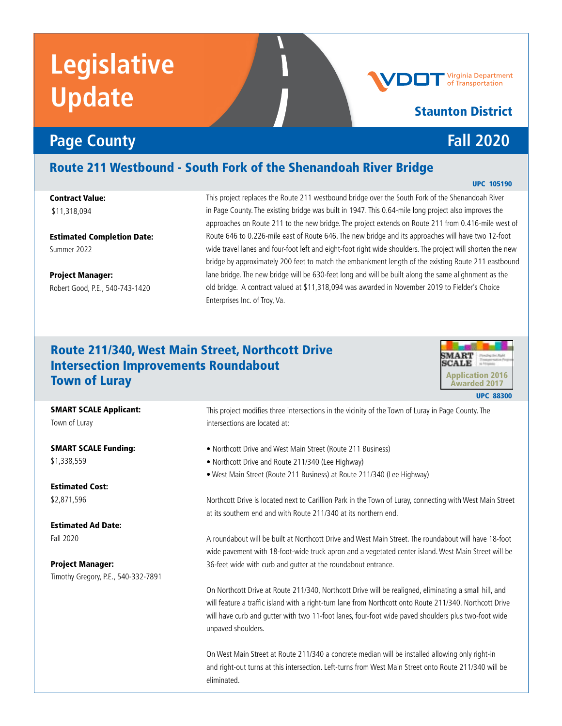# **Legislative Update**

### **Page County Fall 2020**

Route 211 Westbound - South Fork of the Shenandoah River Bridge

Contract Value: \$11,318,094

Estimated Completion Date: Summer 2022

Project Manager: Robert Good, P.E., 540-743-1420 This project replaces the Route 211 westbound bridge over the South Fork of the Shenandoah River in Page County. The existing bridge was built in 1947. This 0.64-mile long project also improves the approaches on Route 211 to the new bridge. The project extends on Route 211 from 0.416-mile west of Route 646 to 0.226-mile east of Route 646. The new bridge and its approaches will have two 12-foot wide travel lanes and four-foot left and eight-foot right wide shoulders. The project will shorten the new bridge by approximately 200 feet to match the embankment length of the existing Route 211 eastbound lane bridge. The new bridge will be 630-feet long and will be built along the same alighnment as the old bridge. A contract valued at \$11,318,094 was awarded in November 2019 to Fielder's Choice Enterprises Inc. of Troy, Va.

### Route 211/340, West Main Street, Northcott Drive Intersection Improvements Roundabout Town of Luray



#### SMART SCALE Applicant:

Town of Luray

SMART SCALE Funding: \$1,338,559

Estimated Cost: \$2,871,596

Estimated Ad Date: Fall 2020

Project Manager: Timothy Gregory, P.E., 540-332-7891 This project modifies three intersections in the vicinity of the Town of Luray in Page County. The intersections are located at:

- Northcott Drive and West Main Street (Route 211 Business)
- Northcott Drive and Route 211/340 (Lee Highway)
- West Main Street (Route 211 Business) at Route 211/340 (Lee Highway)

Northcott Drive is located next to Carillion Park in the Town of Luray, connecting with West Main Street at its southern end and with Route 211/340 at its northern end.

A roundabout will be built at Northcott Drive and West Main Street. The roundabout will have 18-foot wide pavement with 18-foot-wide truck apron and a vegetated center island. West Main Street will be 36-feet wide with curb and gutter at the roundabout entrance.

On Northcott Drive at Route 211/340, Northcott Drive will be realigned, eliminating a small hill, and will feature a traffic island with a right-turn lane from Northcott onto Route 211/340. Northcott Drive will have curb and gutter with two 11-foot lanes, four-foot wide paved shoulders plus two-foot wide unpaved shoulders.

On West Main Street at Route 211/340 a concrete median will be installed allowing only right-in and right-out turns at this intersection. Left-turns from West Main Street onto Route 211/340 will be eliminated.

#### UPC 105190

**Virginia Department**<br>of Transportation

Staunton District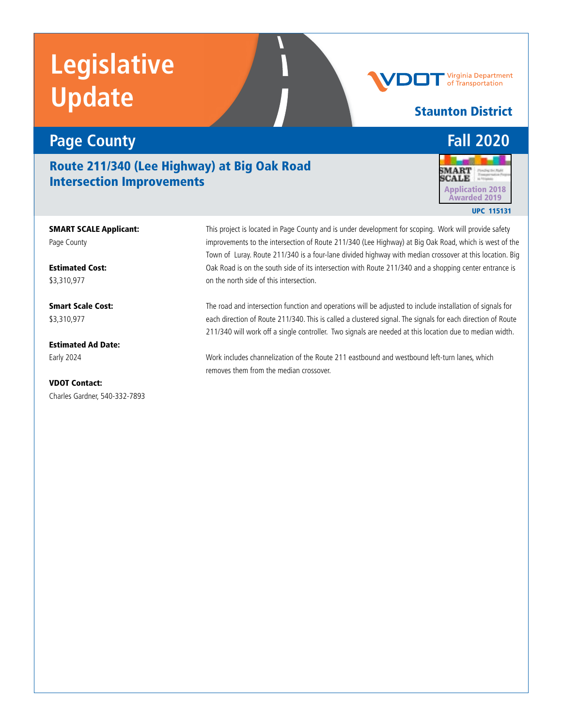# **Legislative Update**

### **Page County Fall 2020**

Route 211/340 (Lee Highway) at Big Oak Road **Intersection Improvements Application 2018** 

**Staunton District** 

SMART SCALE Applicant: Page County

Estimated Cost: \$3,310,977

Smart Scale Cost: \$3,310,977

Estimated Ad Date: Early 2024

VDOT Contact: Charles Gardner, 540-332-7893 This project is located in Page County and is under development for scoping. Work will provide safety improvements to the intersection of Route 211/340 (Lee Highway) at Big Oak Road, which is west of the Town of Luray. Route 211/340 is a four-lane divided highway with median crossover at this location. Big Oak Road is on the south side of its intersection with Route 211/340 and a shopping center entrance is on the north side of this intersection.

The road and intersection function and operations will be adjusted to include installation of signals for each direction of Route 211/340. This is called a clustered signal. The signals for each direction of Route 211/340 will work off a single controller. Two signals are needed at this location due to median width.

Work includes channelization of the Route 211 eastbound and westbound left-turn lanes, which removes them from the median crossover.



**Virginia Department**<br>of Transportation